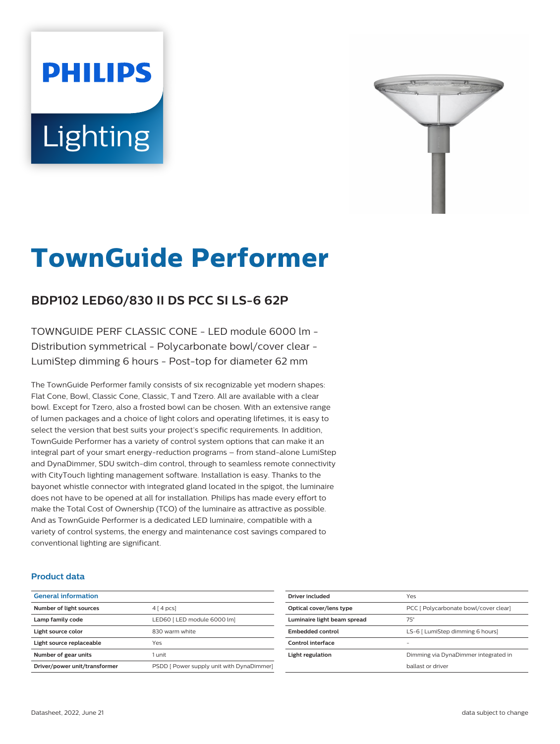# **PHILIPS** Lighting



# **TownGuide Performer**

# **BDP102 LED60/830 II DS PCC SI LS-6 62P**

TOWNGUIDE PERF CLASSIC CONE - LED module 6000 lm - Distribution symmetrical - Polycarbonate bowl/cover clear - LumiStep dimming 6 hours - Post-top for diameter 62 mm

The TownGuide Performer family consists of six recognizable yet modern shapes: Flat Cone, Bowl, Classic Cone, Classic, T and Tzero. All are available with a clear bowl. Except for Tzero, also a frosted bowl can be chosen. With an extensive range of lumen packages and a choice of light colors and operating lifetimes, it is easy to select the version that best suits your project's specific requirements. In addition, TownGuide Performer has a variety of control system options that can make it an integral part of your smart energy-reduction programs – from stand-alone LumiStep and DynaDimmer, SDU switch-dim control, through to seamless remote connectivity with CityTouch lighting management software. Installation is easy. Thanks to the bayonet whistle connector with integrated gland located in the spigot, the luminaire does not have to be opened at all for installation. Philips has made every effort to make the Total Cost of Ownership (TCO) of the luminaire as attractive as possible. And as TownGuide Performer is a dedicated LED luminaire, compatible with a variety of control systems, the energy and maintenance cost savings compared to conventional lighting are significant.

#### **Product data**

| <b>General information</b>    |                                           |
|-------------------------------|-------------------------------------------|
| Number of light sources       | $4 \mid 4 \mid pcs$                       |
| Lamp family code              | LED60   LED module 6000 lml               |
| Light source color            | 830 warm white                            |
| Light source replaceable      | Yes                                       |
| Number of gear units          | 1 unit                                    |
| Driver/power unit/transformer | PSDD [ Power supply unit with DynaDimmer] |

| Driver included             | Yes                                   |
|-----------------------------|---------------------------------------|
| Optical cover/lens type     | PCC   Polycarbonate bowl/cover clear] |
| Luminaire light beam spread | $75^\circ$                            |
| Embedded control            | LS-6 [ LumiStep dimming 6 hours]      |
| Control interface           |                                       |
| Light regulation            | Dimming via DynaDimmer integrated in  |
|                             | hallast or driver                     |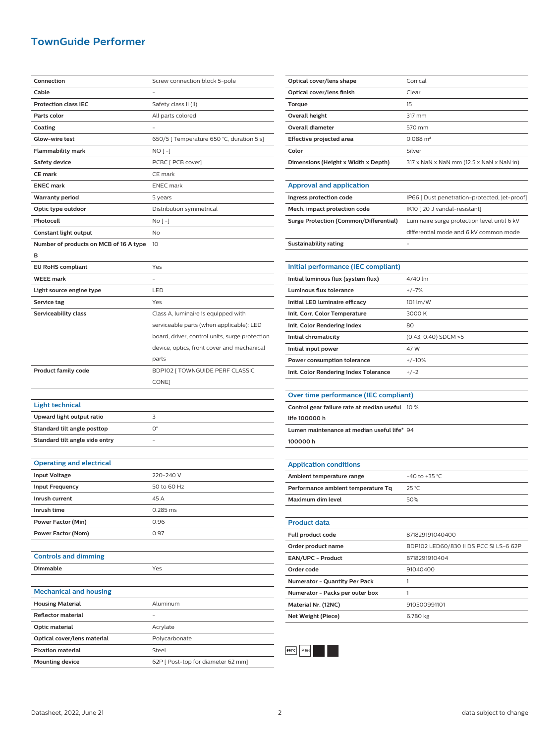## **TownGuide Performer**

| Connection                             | Screw connection block 5-pole                  |
|----------------------------------------|------------------------------------------------|
| Cable                                  |                                                |
| <b>Protection class IEC</b>            | Safety class II (II)                           |
| Parts color                            | All parts colored                              |
| Coating                                |                                                |
| Glow-wire test                         | 650/5 [ Temperature 650 °C, duration 5 s]      |
| Flammability mark                      | NO [ -]                                        |
| <b>Safety device</b>                   | PCBC [ PCB cover]                              |
| <b>CE mark</b>                         | CE mark                                        |
| <b>ENEC mark</b>                       | <b>ENEC</b> mark                               |
| <b>Warranty period</b>                 | 5 years                                        |
| Optic type outdoor                     | Distribution symmetrical                       |
| Photocell                              | No [ -]                                        |
| Constant light output                  | No                                             |
| Number of products on MCB of 16 A type | 10                                             |
| в                                      |                                                |
| <b>EU RoHS compliant</b>               | Yes                                            |
| <b>WEEE</b> mark                       |                                                |
| Light source engine type               | LED                                            |
| Service tag                            | Yes                                            |
| Serviceability class                   | Class A, luminaire is equipped with            |
|                                        | serviceable parts (when applicable): LED       |
|                                        | board, driver, control units, surge protection |
|                                        | device, optics, front cover and mechanical     |
|                                        | parts                                          |
| <b>Product family code</b>             | BDP102 [ TOWNGUIDE PERF CLASSIC                |
|                                        | CONE]                                          |
|                                        |                                                |
| <b>Light technical</b>                 |                                                |
| Upward light output ratio              | 3                                              |
| Standard tilt angle posttop            | О°                                             |
| Standard tilt angle side entry         |                                                |
|                                        |                                                |
| <b>Operating and electrical</b>        |                                                |
| <b>Input Voltage</b>                   | 220-240 V                                      |
| <b>Input Frequency</b>                 | 50 to 60 Hz                                    |
| Inrush current                         | 45 A                                           |
| Inrush time                            | 0.285 ms                                       |
| Power Factor (Min)                     | 0.96                                           |
| Power Factor (Nom)                     | 0.97                                           |
|                                        |                                                |
| <b>Controls and dimming</b>            |                                                |
| <b>Dimmable</b>                        | Yes                                            |
|                                        |                                                |
| <b>Mechanical and housing</b>          |                                                |
| <b>Housing Material</b>                | Aluminum                                       |
| <b>Reflector material</b>              |                                                |
| Optic material                         | Acrylate                                       |
| Optical cover/lens material            |                                                |
|                                        | Polycarbonate                                  |
| <b>Fixation material</b>               | Steel                                          |

| Optical cover/lens shape            | Conical                                         |
|-------------------------------------|-------------------------------------------------|
| Optical cover/lens finish           | Clear                                           |
| Torque                              | 15                                              |
| Overall height                      | 317 mm                                          |
| Overall diameter                    | 570 mm                                          |
| Effective projected area            | $0.088 \text{ m}^2$                             |
| Color                               | Silver                                          |
| Dimensions (Height x Width x Depth) | $317 \times$ NaN x NaN mm (12.5 x NaN x NaN in) |
|                                     |                                                 |
| <b>Approval and application</b>     |                                                 |

| a special construction to permeasure in |                                               |
|-----------------------------------------|-----------------------------------------------|
| Ingress protection code                 | IP66 [ Dust penetration-protected, jet-proof] |
| Mech. impact protection code            | IK10 [20 J vandal-resistant]                  |
| Surge Protection (Common/Differential)  | Luminaire surge protection level until 6 kV   |
|                                         | differential mode and 6 kV common mode        |
| Sustainability rating                   |                                               |

| Initial performance (IEC compliant)   |                        |
|---------------------------------------|------------------------|
| Initial luminous flux (system flux)   | 4740 lm                |
| Luminous flux tolerance               | $+/-7%$                |
| Initial LED luminaire efficacy        | 101 lm/W               |
| Init. Corr. Color Temperature         | 3000 K                 |
| Init. Color Rendering Index           | 80                     |
| Initial chromaticity                  | $(0.43, 0.40)$ SDCM <5 |
| Initial input power                   | 47 W                   |
| Power consumption tolerance           | $+/-10%$               |
| Init. Color Rendering Index Tolerance | $+/-2$                 |

| Over time performance (IEC compliant) |  |
|---------------------------------------|--|
|                                       |  |

| Control gear failure rate at median useful 10 % |  |
|-------------------------------------------------|--|
| life 100000 h                                   |  |
| Lumen maintenance at median useful life* 94     |  |
| 100000h                                         |  |

| <b>Application conditions</b>      |                                        |
|------------------------------------|----------------------------------------|
| Ambient temperature range          | $-40$ to $+35$ °C.                     |
| Performance ambient temperature Tq | $25^{\circ}$ C                         |
| Maximum dim level                  | 50%                                    |
|                                    |                                        |
| <b>Product data</b>                |                                        |
| <b>Full product code</b>           | 871829191040400                        |
| Order product name                 | BDP102 LED60/830 II DS PCC SI LS-6 62P |
| EAN/UPC - Product                  | 8718291910404                          |
| Order code                         | 91040400                               |
| Numerator - Quantity Per Pack      | 1                                      |
| Numerator - Packs per outer box    | 1                                      |
| Material Nr. (12NC)                | 910500991101                           |
| <b>Net Weight (Piece)</b>          | 6.780 kg                               |
|                                    |                                        |



 $\overline{a}$ 

j.